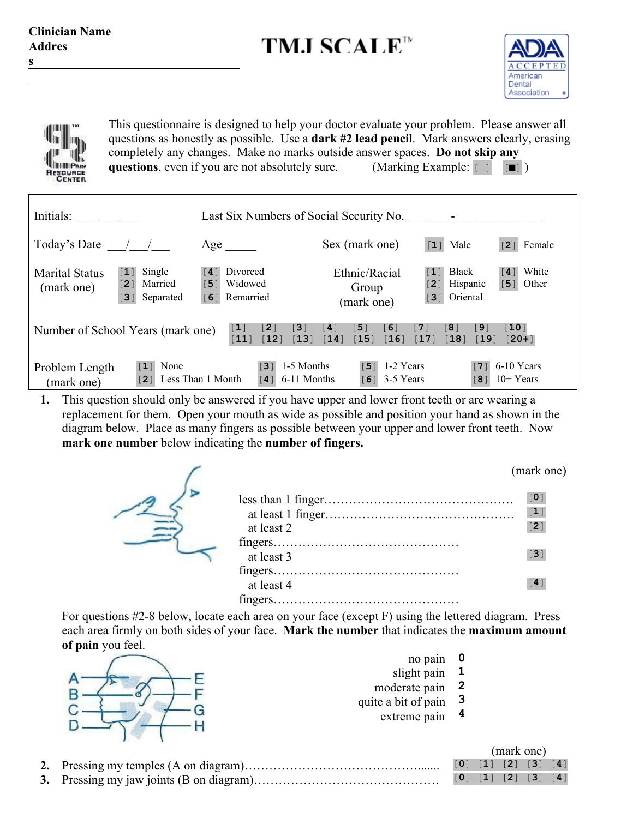| <b>Clinician Name</b>               |                                                                          |                                                                     |                                                                                                                                                                                                                                                                                                                                                                                                |                                                                         |                                                      |
|-------------------------------------|--------------------------------------------------------------------------|---------------------------------------------------------------------|------------------------------------------------------------------------------------------------------------------------------------------------------------------------------------------------------------------------------------------------------------------------------------------------------------------------------------------------------------------------------------------------|-------------------------------------------------------------------------|------------------------------------------------------|
| <b>Addres</b>                       |                                                                          |                                                                     | <b>TMJ SCALE™</b>                                                                                                                                                                                                                                                                                                                                                                              |                                                                         |                                                      |
| S                                   |                                                                          |                                                                     |                                                                                                                                                                                                                                                                                                                                                                                                |                                                                         | American<br>Dental<br>Association                    |
| <b>SENTER</b>                       |                                                                          |                                                                     | This questionnaire is designed to help your doctor evaluate your problem. Please answer all<br>questions as honestly as possible. Use a dark #2 lead pencil. Mark answers clearly, erasing<br>completely any changes. Make no marks outside answer spaces. Do not skip any<br><b>questions</b> , even if you are not absolutely sure. (Marking Example: $\begin{bmatrix} 1 \\ 1 \end{bmatrix}$ |                                                                         |                                                      |
| Initials: $\_\_$                    |                                                                          |                                                                     | Last Six Numbers of Social Security No. $\frac{1}{1}$ $\frac{1}{1}$ $\frac{1}{1}$ $\frac{1}{1}$ $\frac{1}{1}$ $\frac{1}{1}$ $\frac{1}{1}$ $\frac{1}{1}$ $\frac{1}{1}$ $\frac{1}{1}$ $\frac{1}{1}$ $\frac{1}{1}$ $\frac{1}{1}$ $\frac{1}{1}$ $\frac{1}{1}$ $\frac{1}{1}$ $\frac{1}{1}$ $\frac{1}{1}$                                                                                            |                                                                         |                                                      |
| Today's Date $\frac{1}{2}$          |                                                                          | $Age$ <sub>_________</sub>                                          | Sex (mark one)                                                                                                                                                                                                                                                                                                                                                                                 | $\begin{bmatrix} 1 \end{bmatrix}$ Male                                  | $\begin{bmatrix} 2 \end{bmatrix}$ Female             |
| <b>Marital Status</b><br>(mark one) | $\begin{bmatrix} 1 \end{bmatrix}$ Single<br>[2] Married<br>[3] Separated | Divorced<br>$\lceil 4 \rceil$<br>Widowed<br>[5]<br>Remarried<br>[6] | Ethnic/Racial<br>Group<br>(mark one)                                                                                                                                                                                                                                                                                                                                                           | $\begin{bmatrix} 1 \end{bmatrix}$ Black<br>[2] Hispanic<br>[3] Oriental | [4] White<br>$\begin{bmatrix} 5 \end{bmatrix}$ Other |
|                                     | Number of School Years (mark one)                                        | $\lceil 1 \rceil$<br>[2]<br>[11]<br>$\lceil 12 \rceil$              | $\lceil 4 \rceil$<br>[5]<br>[6]<br>$[3]$<br>$\begin{bmatrix} 13 \end{bmatrix} \begin{bmatrix} 14 \end{bmatrix}$<br>$[15]$                                                                                                                                                                                                                                                                      | [7]<br>[8]<br>[9]<br>[16] [17]<br>$[18]$                                | [10]<br>$[19] [20+]$                                 |
| Problem Length<br>(mark one)        | $\lceil 1 \rceil$ None                                                   | [2] Less Than 1 Month $[4]$ 6-11 Months                             | $\begin{array}{ c c } \hline \hline \hline \end{array}$ 3   1-5 Months<br>$\begin{bmatrix} 5 \end{bmatrix}$ 1-2 Years<br>[6] $3-5$ Years                                                                                                                                                                                                                                                       |                                                                         | [7] $6-10$ Years<br>$[8]$ 10+ Years                  |
|                                     |                                                                          |                                                                     | 1. This question should only be answered if you have upper and lower front teeth or are wearing a                                                                                                                                                                                                                                                                                              |                                                                         |                                                      |

replacement for them. Open your mouth as wide as possible and position your hand as shown in the diagram below. Place as many fingers as possible between your upper and lower front teeth. Now **mark one number** below indicating the **number of fingers.**

(mark one)

| at least 2 | $\lceil 0 \rceil$<br>$[1]$<br>[2] |
|------------|-----------------------------------|
|            |                                   |
| at least 3 | $\lceil 3 \rceil$                 |
|            |                                   |
| at least 4 | $\lceil 4 \rceil$                 |
|            |                                   |

For questions #2-8 below, locate each area on your face (except F) using the lettered diagram. Press each area firmly on both sides of your face. **Mark the number** that indicates the **maximum amount of pain** you feel. no pain **0**



| по раш              | u |
|---------------------|---|
| slight pain         | ı |
| moderate pain       | 2 |
| quite a bit of pain | 3 |
| extreme pain        | 4 |
|                     |   |

|  | (mark one) |  |  |                                                                                         |  |  |
|--|------------|--|--|-----------------------------------------------------------------------------------------|--|--|
|  |            |  |  | [0] [1] [2] [3] [4]                                                                     |  |  |
|  |            |  |  | $\begin{bmatrix} 0 \\ 1 \\ 2 \end{bmatrix}$ $\begin{bmatrix} 2 \\ 3 \\ 4 \end{bmatrix}$ |  |  |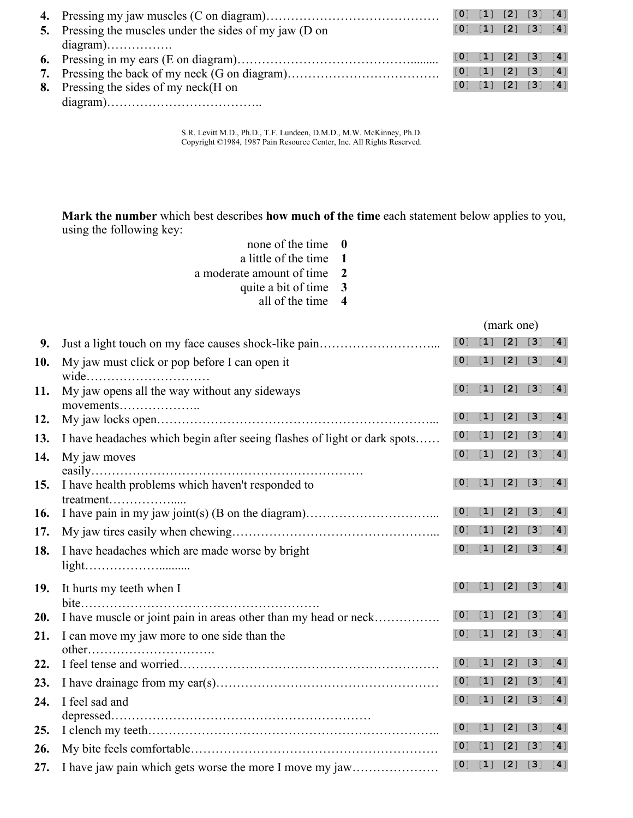|                                                         | [0] [1] [2] [3] [4] |                     |  |
|---------------------------------------------------------|---------------------|---------------------|--|
| 5. Pressing the muscles under the sides of my jaw (D on |                     | [0] [1] [2] [3] [4] |  |
|                                                         |                     |                     |  |
|                                                         | [0] [1] [2] [3] [4] |                     |  |
| 7. Pressing the back of my neck (G on diagram)          | [0] [1] [2] [3] [4] |                     |  |
| 8. Pressing the sides of my neck(H on                   |                     | [0] [1] [2] [3] [4] |  |
|                                                         |                     |                     |  |

S.R. Levitt M.D., Ph.D., T.F. Lundeen, D.M.D., M.W. McKinney, Ph.D. Copyright ©1984, 1987 Pain Resource Center, Inc. All Rights Reserved.

**Mark the number** which best describes **how much of the time** each statement below applies to you, using the following key:

> none of the time **0** a little of the time **1**

> quite a bit of time **3**

a moderate amount of time **2**

|     | all of the time<br>$\boldsymbol{4}$                                      |                     |                   |                   |                   |                   |  |
|-----|--------------------------------------------------------------------------|---------------------|-------------------|-------------------|-------------------|-------------------|--|
|     |                                                                          | (mark one)          |                   |                   |                   |                   |  |
| 9.  |                                                                          | [0]                 | $[1]$             | [2]               | $[3]$             | [4]               |  |
| 10. | My jaw must click or pop before I can open it<br>wide                    | $\lceil 0 \rceil$   | $[1]$             | [2]               | $[3]$             | [4]               |  |
| 11. | My jaw opens all the way without any sideways<br>movements               | $\lceil 0 \rceil$   | $[1]$             | [2]               | $[3]$             | [4]               |  |
| 12. |                                                                          | [0]                 | $[1]$             | $\lceil 2 \rceil$ | $\lceil 3 \rceil$ | $\lceil 4 \rceil$ |  |
| 13. | I have headaches which begin after seeing flashes of light or dark spots | $\lceil 0 \rceil$   | $\lceil 1 \rceil$ | $\lceil 2 \rceil$ | [3]               | $\lceil 4 \rceil$ |  |
| 14. | My jaw moves                                                             | $\lceil$ 0 $\rceil$ | $[1]$             | [2]               | $[3]$             | [4]               |  |
| 15. | I have health problems which haven't responded to<br>treatment           | [0]                 | $[1]$             | [2]               | $[3]$             | [4]               |  |
| 16. |                                                                          | [0]                 | $[1]$             | $\lceil 2 \rceil$ | $\lceil 3 \rceil$ | $\lceil 4 \rceil$ |  |
| 17. |                                                                          | [0]                 | $[1]$             | [2]               | [3]               | [4]               |  |
| 18. | I have headaches which are made worse by bright                          | [0]                 | $[1]$             | [2]               | $[3]$             | [4]               |  |
| 19. | It hurts my teeth when I                                                 | $\lceil$ 0 $\rceil$ | $[1]$             | [2]               | $[3]$             | [4]               |  |
| 20. | I have muscle or joint pain in areas other than my head or neck          | [0]                 | $\lceil 1 \rceil$ | [2]               | $\lceil 3 \rceil$ | $\lceil 4 \rceil$ |  |
| 21. | I can move my jaw more to one side than the                              | [0]                 | $\lceil 1 \rceil$ | [2]               | $[3]$             | $\lceil 4 \rceil$ |  |
| 22. |                                                                          | $\lceil 0 \rceil$   | $\lceil 1 \rceil$ | [2]               | $\lceil 3 \rceil$ | $\lceil 4 \rceil$ |  |
| 23. |                                                                          | [0]                 | $[1]$             | [2]               | $[3]$             | [4]               |  |
| 24. | I feel sad and                                                           | [0]                 | $[1]$             | $[2]$             | $[3]$             | [4]               |  |
| 25. |                                                                          | [0]                 | $[1]$             | [2]               | $[3]$             | [4]               |  |
| 26. |                                                                          | $\lceil 0 \rceil$   | $\lceil 1 \rceil$ | [2]               | $[3]$             | [4]               |  |
| 27. | I have jaw pain which gets worse the more I move my jaw                  | [0]                 | $[1]$             | [2]               | $[3]$             | $[4]$             |  |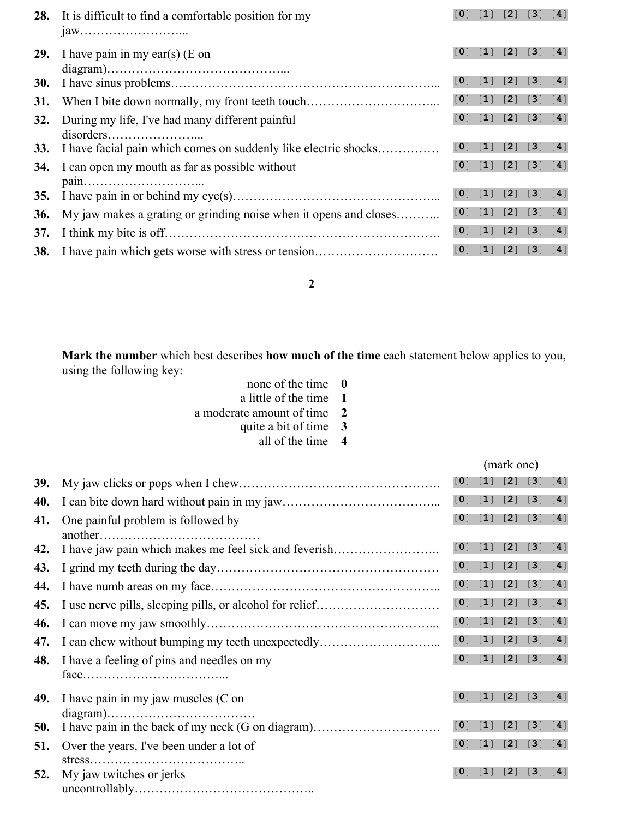|            | 28. It is difficult to find a comfortable position for my                                                | $\lceil 0 \rceil$ | $\lceil 1 \rceil$                                                 | $[2] [3]$                                                           |                                                                   | [4]               |
|------------|----------------------------------------------------------------------------------------------------------|-------------------|-------------------------------------------------------------------|---------------------------------------------------------------------|-------------------------------------------------------------------|-------------------|
| <b>29.</b> | I have pain in my ear(s) (E on                                                                           | $\lceil$ 0        | $\lceil 1 \rceil$                                                 | $\begin{bmatrix} 2 \end{bmatrix} \begin{bmatrix} 3 \end{bmatrix}$   |                                                                   | [4]               |
| <b>30.</b> |                                                                                                          | [0]               | $\lceil 1 \rceil$                                                 | [2]                                                                 | $\left[3\right]$                                                  | [4]               |
| 31.        |                                                                                                          | [0]               |                                                                   | $\begin{bmatrix} 1 \end{bmatrix}$ $\begin{bmatrix} 2 \end{bmatrix}$ | $\lceil 3 \rceil$                                                 | [4]               |
| 32.        | During my life, I've had many different painful<br>$disorders \dots \dots \dots \dots \dots \dots \dots$ |                   |                                                                   | [0] [1] [2] [3] [4]                                                 |                                                                   |                   |
|            | 33. I have facial pain which comes on suddenly like electric shocks                                      | [0]               |                                                                   | [1] [2] [3]                                                         |                                                                   | [4]               |
| 34.        | I can open my mouth as far as possible without                                                           | $\lceil 0 \rceil$ |                                                                   | [1] [2] [3] [4]                                                     |                                                                   |                   |
| <b>35.</b> |                                                                                                          | $\lceil 0 \rceil$ | $\lceil 1 \rceil$                                                 | [2]                                                                 | $\left[3\right]$                                                  | [4]               |
| 36.        | My jaw makes a grating or grinding noise when it opens and closes                                        | $\lceil 0 \rceil$ |                                                                   | [1] [2] [3]                                                         |                                                                   | [4]               |
| 37.        |                                                                                                          | [0]               | $\begin{bmatrix} 1 \end{bmatrix} \begin{bmatrix} 2 \end{bmatrix}$ |                                                                     | $\begin{bmatrix} 3 \end{bmatrix} \begin{bmatrix} 4 \end{bmatrix}$ |                   |
|            |                                                                                                          | $\lceil 0 \rceil$ | $\begin{bmatrix} 1 \end{bmatrix} \begin{bmatrix} 2 \end{bmatrix}$ |                                                                     | $\left[3\right]$                                                  | $\lceil 4 \rceil$ |

**2**

**Mark the number** which best describes **how much of the time** each statement below applies to you, using the following key:

| none of the time            | $\mathbf{0}$   |
|-----------------------------|----------------|
| a little of the time        | -1             |
| a moderate amount of time 2 |                |
| quite a bit of time         | 3              |
| all of the time             | $\overline{4}$ |

(mark one) **39.** My jaw clicks or pops when I chew…………………………………………. [**0**] [**1**] [**2**] [**3**] [**4**] **40.** I can bite down hard without pain in my jaw………………………………... [**0**] [**1**] [**2**] [**3**] [**4**] **41.** One painful problem is followed by another………………………………… [**0**] [**1**] [**2**] [**3**] [**4**] **42.** I have jaw pain which makes me feel sick and feverish…………………….. [**0**] [**1**] [**2**] [**3**] [**4**] **43.** I grind my teeth during the day……………………………………………… [**0**] [**1**] [**2**] [**3**] [**4**] **44.** I have numb areas on my face……………………………………………….. [**0**] [**1**] [**2**] [**3**] [**4**] **45.** I use nerve pills, sleeping pills, or alcohol for relief………………………… [**0**] [**1**] [**2**] [**3**] [**4**] **46.** I can move my jaw smoothly………………………………………………... [**0**] [**1**] [**2**] [**3**] [**4**] **47.** I can chew without bumping my teeth unexpectedly………………………... [**0**] [**1**] [**2**] [**3**] [**4**] **48.** I have a feeling of pins and needles on my face……………………………... [**0**] [**1**] [**2**] [**3**] [**4**] **49.** I have pain in my jaw muscles (C on diagram)……………………………… [**0**] [**1**] [**2**] [**3**] [**4**] **50.** I have pain in the back of my neck (G on diagram)…………………………. [**0**] [**1**] [**2**] [**3**] [**4**] **51.** Over the years, I've been under a lot of stress……………………………….. [**0**] [**1**] [**2**] [**3**] [**4**] **52.** My jaw twitches or jerks uncontrollably…………………………………….. [**0**] [**1**] [**2**] [**3**] [**4**]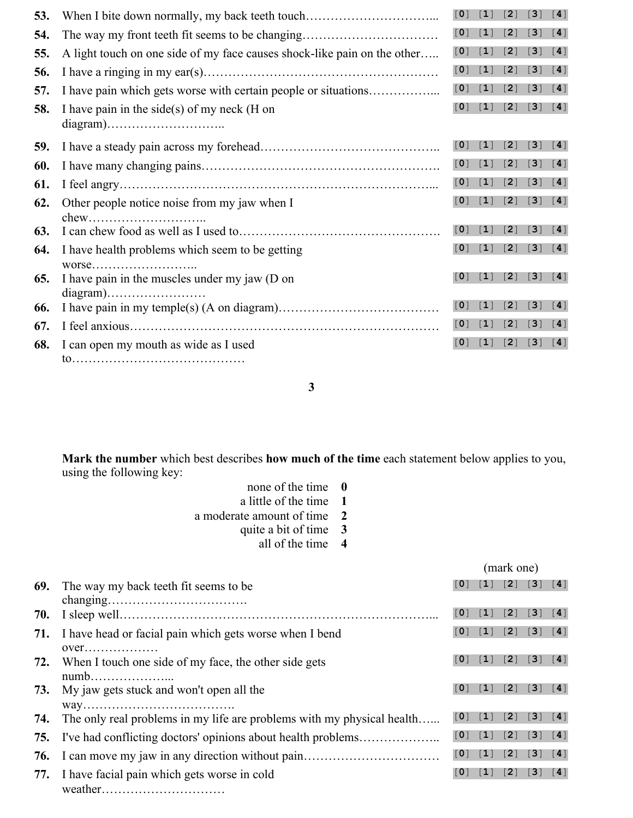| 53. | When I bite down normally, my back teeth touch                           | [0]               | $\lceil 1 \rceil$ | $\lceil 2 \rceil$ | $\lceil 3 \rceil$                             | [4]                |
|-----|--------------------------------------------------------------------------|-------------------|-------------------|-------------------|-----------------------------------------------|--------------------|
| 54. |                                                                          | [0]               | $\lceil 1 \rceil$ | [2]               | $\lceil 3 \rceil$                             | $\left[ 4 \right]$ |
| 55. | A light touch on one side of my face causes shock-like pain on the other | [0]               | $\lceil 1 \rceil$ | [2]               | $\lceil 3 \rceil$                             | [4]                |
| 56. |                                                                          | $\lceil 0 \rceil$ | $\lceil 1 \rceil$ | [2]               | $[3]$                                         | $\lceil 4 \rceil$  |
| 57. | I have pain which gets worse with certain people or situations           | $\lceil 0 \rceil$ | $[1]$             | $[2]$             | $[3]$                                         | [4]                |
| 58. | I have pain in the side(s) of my neck (H on                              | $\lceil 0 \rceil$ | $\lceil 1 \rceil$ |                   | [2] [3] [4]                                   |                    |
| 59. |                                                                          | [0]               | $[1]$             | [2]               | $\left[3\right]$                              | [4]                |
| 60. |                                                                          | [0]               | $[1]$             | $[2]$             | $[3] [4]$                                     |                    |
| 61. |                                                                          | $\lceil 0 \rceil$ | $[1]$             | [2]               | $[3]$                                         | [4]                |
| 62. | Other people notice noise from my jaw when I                             | $\lceil 0 \rceil$ | $\lceil 1 \rceil$ | [2]               | $\left[\begin{array}{c} 3 \end{array}\right]$ | [4]                |
| 63. |                                                                          | [0]               | $\lceil 1 \rceil$ | [2]               | [3]                                           | [4]                |
| 64. | I have health problems which seem to be getting                          | $\lceil 0 \rceil$ | $[1]$             |                   | $[2] [3]$                                     | [4]                |
| 65. | I have pain in the muscles under my jaw (D on                            | $\lceil$ 0        | $\lceil 1 \rceil$ | $[2]$             | $[3]$                                         | [4]                |
| 66. |                                                                          | [0]               | $[1]$             | [2]               | [3]                                           | [4]                |
| 67. |                                                                          | $\lceil 0 \rceil$ | $\lceil 1 \rceil$ | [2]               | [3]                                           | [4]                |
| 68. | I can open my mouth as wide as I used                                    | [0]               | $\lceil 1 \rceil$ | [2]               | $[3]$                                         | [4]                |
|     |                                                                          |                   |                   |                   |                                               |                    |

**3**

**Mark the number** which best describes **how much of the time** each statement below applies to you, using the following key:

| none of the time $\theta$   |  |
|-----------------------------|--|
| a little of the time 1      |  |
| a moderate amount of time 2 |  |
| quite a bit of time 3       |  |

all of the time **4**

|     |                                                                        | (mark one)        |                   |                                                                     |                     |     |
|-----|------------------------------------------------------------------------|-------------------|-------------------|---------------------------------------------------------------------|---------------------|-----|
| 69. | The way my back teeth fit seems to be                                  |                   |                   |                                                                     | [0] [1] [2] [3] [4] |     |
|     |                                                                        |                   |                   |                                                                     |                     |     |
|     |                                                                        | [0]               | [1] [2] [3]       |                                                                     |                     | [4] |
|     | <b>71.</b> I have head or facial pain which gets worse when I bend     |                   |                   |                                                                     | [0] [1] [2] [3] [4] |     |
|     |                                                                        |                   |                   |                                                                     |                     |     |
| 72. | When I touch one side of my face, the other side gets                  | [0]               |                   |                                                                     | [1] [2] [3] [4]     |     |
|     |                                                                        |                   |                   |                                                                     |                     |     |
|     | <b>73.</b> My jaw gets stuck and won't open all the                    | $\lceil 0 \rceil$ |                   |                                                                     | [1] [2] [3] [4]     |     |
|     |                                                                        |                   |                   |                                                                     |                     |     |
| 74. | The only real problems in my life are problems with my physical health | [0]               | $\lceil 1 \rceil$ | $\begin{bmatrix} 2 \end{bmatrix}$ $\begin{bmatrix} 3 \end{bmatrix}$ |                     | [4] |
| 75. | I've had conflicting doctors' opinions about health problems           | [0]               | [1] [2] [3]       |                                                                     |                     | [4] |
| 76. |                                                                        |                   |                   |                                                                     | [0] [1] [2] [3] [4] |     |
| 77. | I have facial pain which gets worse in cold                            | $\lceil 0 \rceil$ |                   |                                                                     | [1] [2] [3] [4]     |     |
|     |                                                                        |                   |                   |                                                                     |                     |     |